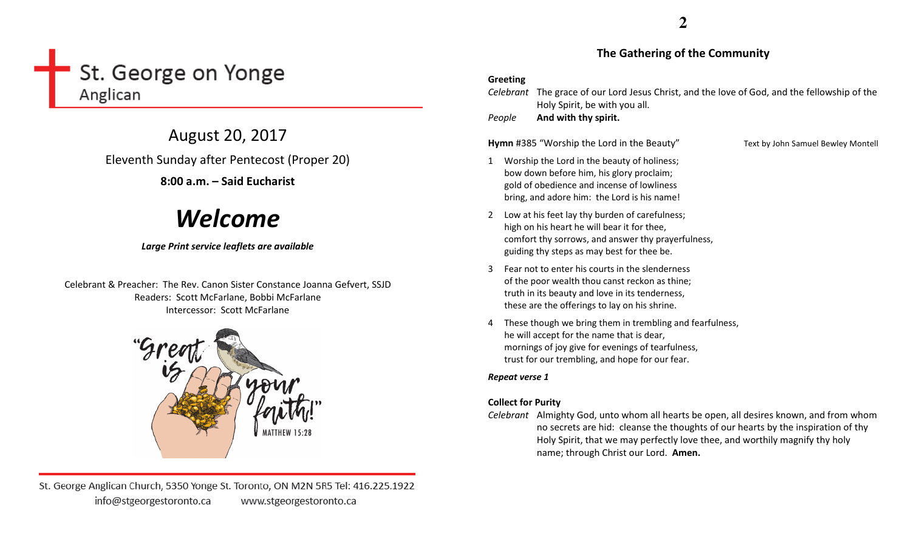# St. George on Yonge Anglican

August 20, 2017 Eleventh Sunday after Pentecost (Proper 20) 8:00 a.m. – Said Eucharist

# Welcome

# Large Print service leaflets are available

Celebrant & Preacher: The Rev. Canon Sister Constance Joanna Gefvert, SSJD Readers: Scott McFarlane, Bobbi McFarlane Intercessor: Scott McFarlane



St. George Anglican Church, 5350 Yonge St. Toronto, ON M2N 5R5 Tel: 416.225.1922 info@stgeorgestoronto.ca www.stgeorgestoronto.ca

# The Gathering of the Community

# Greeting

Celebrant The grace of our Lord Jesus Christ, and the love of God, and the fellowship of the Holy Spirit, be with you all.

PeopleAnd with thy spirit.

Hymn #385 "Worship the Lord in the Beauty" Text by John Samuel Bewley Montell

- 1 Worship the Lord in the beauty of holiness; bow down before him, his glory proclaim; gold of obedience and incense of lowliness bring, and adore him: the Lord is his name!
- 2 Low at his feet lay thy burden of carefulness; high on his heart he will bear it for thee, comfort thy sorrows, and answer thy prayerfulness, guiding thy steps as may best for thee be.
- 3 Fear not to enter his courts in the slenderness of the poor wealth thou canst reckon as thine; truth in its beauty and love in its tenderness, these are the offerings to lay on his shrine.
- 4 These though we bring them in trembling and fearfulness, he will accept for the name that is dear, mornings of joy give for evenings of tearfulness, trust for our trembling, and hope for our fear.

# Repeat verse 1

# Collect for Purity

Celebrant Almighty God, unto whom all hearts be open, all desires known, and from whom no secrets are hid: cleanse the thoughts of our hearts by the inspiration of thy Holy Spirit, that we may perfectly love thee, and worthily magnify thy holy name; through Christ our Lord. Amen.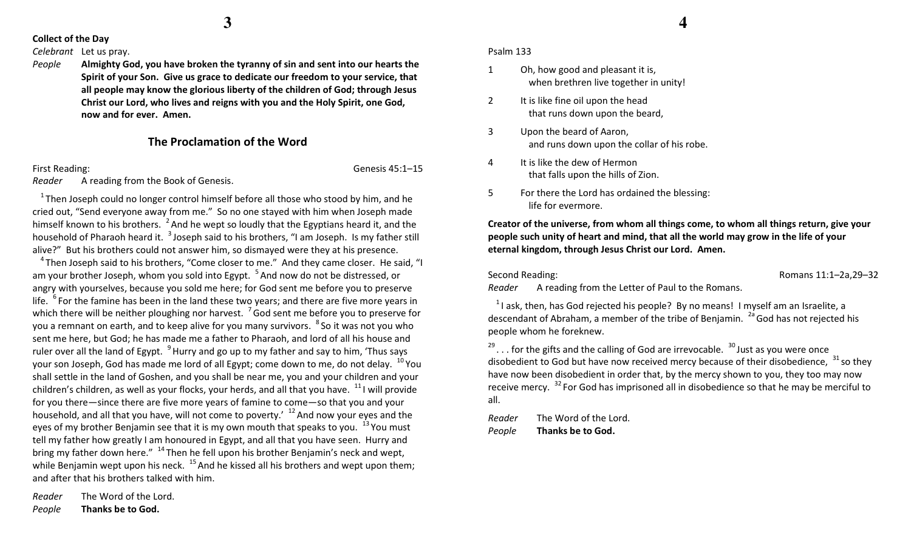**3**

## Collect of the Day

#### Celebrant Let us pray.

People Almighty God, you have broken the tyranny of sin and sent into our hearts the Spirit of your Son. Give us grace to dedicate our freedom to your service, that all people may know the glorious liberty of the children of God; through Jesus Christ our Lord, who lives and reigns with you and the Holy Spirit, one God, now and for ever. Amen.

# The Proclamation of the Word

First Reading: Genesis 45:1–15

Reader A reading from the Book of Genesis.

Reader The Word of the Lord.

Thanks be to God.

People

 $1$ <sup>1</sup> Then Joseph could no longer control himself before all those who stood by him, and he cried out, "Send everyone away from me." So no one stayed with him when Joseph made himself known to his brothers.  $^2$  And he wept so loudly that the Egyptians heard it, and the household of Pharaoh heard it. <sup>3</sup> Joseph said to his brothers, "I am Joseph. Is my father still alive?" But his brothers could not answer him, so dismayed were they at his presence.

 $4$ Then Joseph said to his brothers. "Come closer to me." And they came closer. He said. "I am your brother Joseph, whom you sold into Egypt.  $5$  And now do not be distressed, or angry with yourselves, because you sold me here; for God sent me before you to preserve life.  $6$  For the famine has been in the land these two years; and there are five more years in which there will be neither ploughing nor harvest.  $\frac{7}{3}$  God sent me before you to preserve for you a remnant on earth, and to keep alive for you many survivors. <sup>8</sup>So it was not you who sent me here, but God; he has made me a father to Pharaoh, and lord of all his house and ruler over all the land of Egypt.  $9$  Hurry and go up to my father and say to him, 'Thus says your son Joseph, God has made me lord of all Egypt; come down to me, do not delay.  $^{10}$  You shall settle in the land of Goshen, and you shall be near me, you and your children and your children's children, as well as your flocks, your herds, and all that you have.  $^{11}$  I will provide for you there—since there are five more years of famine to come—so that you and your household, and all that you have, will not come to poverty.'  $^{12}$  And now your eyes and the eyes of my brother Benjamin see that it is my own mouth that speaks to you.  $^{13}$  You must tell my father how greatly I am honoured in Egypt, and all that you have seen. Hurry and bring my father down here."  $14$  Then he fell upon his brother Benjamin's neck and wept, while Benjamin wept upon his neck.  $^{15}$  And he kissed all his brothers and wept upon them; and after that his brothers talked with him.

Psalm 133

- 1 Oh, how good and pleasant it is, when brethren live together in unity!
- 2 It is like fine oil upon the head that runs down upon the beard,
- 3 Upon the beard of Aaron, and runs down upon the collar of his robe.
- 4 It is like the dew of Hermon that falls upon the hills of Zion.
- 5 For there the Lord has ordained the blessing: life for evermore.

Creator of the universe, from whom all things come, to whom all things return, give your people such unity of heart and mind, that all the world may grow in the life of your eternal kingdom, through Jesus Christ our Lord. Amen.

Second Reading: The Condition of the Conditional Second Reading:  $\alpha$  Romans 11:1–2a,29–32

Reader A reading from the Letter of Paul to the Romans.

 $1$ l ask, then, has God rejected his people? By no means! I myself am an Israelite, a descendant of Abraham, a member of the tribe of Benjamin.  $^{2a}$  God has not rejected his people whom he foreknew.

 $29.$ .. for the gifts and the calling of God are irrevocable.  $30$  Just as you were once disobedient to God but have now received mercy because of their disobedience,  $^{31}$  so they have now been disobedient in order that, by the mercy shown to you, they too may now receive mercy.  $^{32}$  For God has imprisoned all in disobedience so that he may be merciful to all.

Reader The Word of the Lord. PeopleThanks be to God.

**4**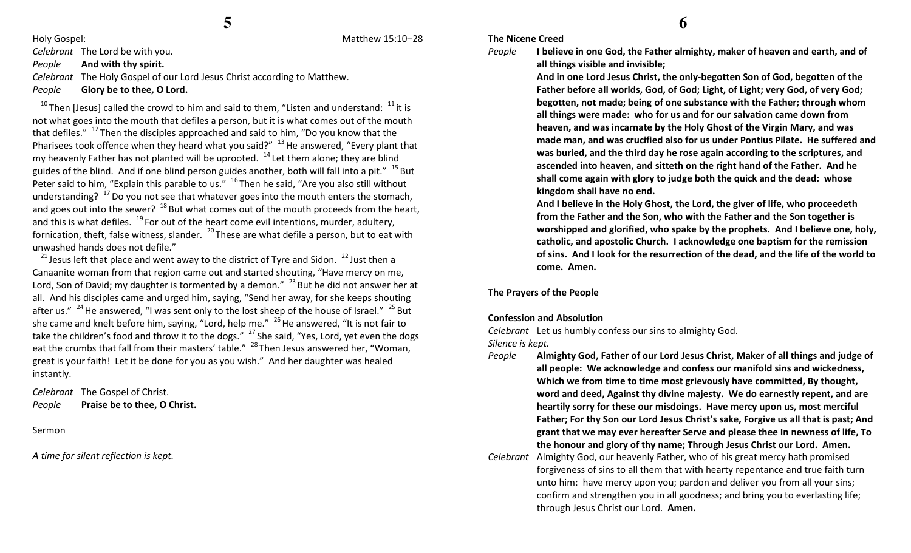Holy Gospel: Matthew 15:10–28

Celebrant The Lord be with you.

PeopleAnd with thy spirit.

Celebrant The Holy Gospel of our Lord Jesus Christ according to Matthew. PeopleGlory be to thee, O Lord.

 $10$ Then [Jesus] called the crowd to him and said to them, "Listen and understand:  $11$  it is not what goes into the mouth that defiles a person, but it is what comes out of the mouth that defiles."  $12$  Then the disciples approached and said to him, "Do you know that the Pharisees took offence when they heard what you said?"  $^{13}$  He answered, "Every plant that my heavenly Father has not planted will be uprooted.  $14$  Let them alone; they are blind guides of the blind. And if one blind person guides another, both will fall into a pit."  $15$  But Peter said to him, "Explain this parable to us."  $16$  Then he said, "Are you also still without understanding?  $^{17}$  Do you not see that whatever goes into the mouth enters the stomach, and goes out into the sewer?  $^{18}$  But what comes out of the mouth proceeds from the heart, and this is what defiles.  $19$  For out of the heart come evil intentions, murder, adultery, fornication, theft, false witness, slander.  $^{20}$  These are what defile a person, but to eat with unwashed hands does not defile."

<sup>21</sup> Jesus left that place and went away to the district of Tyre and Sidon.  $^{22}$  Just then a Canaanite woman from that region came out and started shouting, "Have mercy on me, Lord, Son of David; my daughter is tormented by a demon."  $^{23}$  But he did not answer her at all. And his disciples came and urged him, saying, "Send her away, for she keeps shouting after us."  $^{24}$  He answered, "I was sent only to the lost sheep of the house of Israel."  $^{25}$  But she came and knelt before him, saying, "Lord, help me."  $^{26}$  He answered, "It is not fair to take the children's food and throw it to the dogs."  $\frac{27}{10}$ She said, "Yes, Lord, yet even the dogs eat the crumbs that fall from their masters' table." <sup>28</sup>Then Jesus answered her, "Woman, great is your faith! Let it be done for you as you wish." And her daughter was healed instantly.

Celebrant The Gospel of Christ. PeoplePraise be to thee, O Christ.

Sermon

A time for silent reflection is kept.

#### The Nicene Creed

People

 I believe in one God, the Father almighty, maker of heaven and earth, and of all things visible and invisible;

And in one Lord Jesus Christ, the only-begotten Son of God, begotten of the Father before all worlds, God, of God; Light, of Light; very God, of very God; begotten, not made; being of one substance with the Father; through whom all things were made: who for us and for our salvation came down from heaven, and was incarnate by the Holy Ghost of the Virgin Mary, and was made man, and was crucified also for us under Pontius Pilate. He suffered and was buried, and the third day he rose again according to the scriptures, and ascended into heaven, and sitteth on the right hand of the Father. And he shall come again with glory to judge both the quick and the dead: whose kingdom shall have no end.

And I believe in the Holy Ghost, the Lord, the giver of life, who proceedeth from the Father and the Son, who with the Father and the Son together is worshipped and glorified, who spake by the prophets. And I believe one, holy, catholic, and apostolic Church. I acknowledge one baptism for the remission of sins. And I look for the resurrection of the dead, and the life of the world to come. Amen.

The Prayers of the People

## Confession and Absolution

Celebrant Let us humbly confess our sins to almighty God.

Silence is kept.

- People Almighty God, Father of our Lord Jesus Christ, Maker of all things and judge of all people: We acknowledge and confess our manifold sins and wickedness, Which we from time to time most grievously have committed, By thought, word and deed, Against thy divine majesty. We do earnestly repent, and are heartily sorry for these our misdoings. Have mercy upon us, most merciful Father; For thy Son our Lord Jesus Christ's sake, Forgive us all that is past; And grant that we may ever hereafter Serve and please thee In newness of life, To the honour and glory of thy name; Through Jesus Christ our Lord. Amen.
- Celebrant Almighty God, our heavenly Father, who of his great mercy hath promised forgiveness of sins to all them that with hearty repentance and true faith turn unto him: have mercy upon you; pardon and deliver you from all your sins; confirm and strengthen you in all goodness; and bring you to everlasting life; through Jesus Christ our Lord. Amen.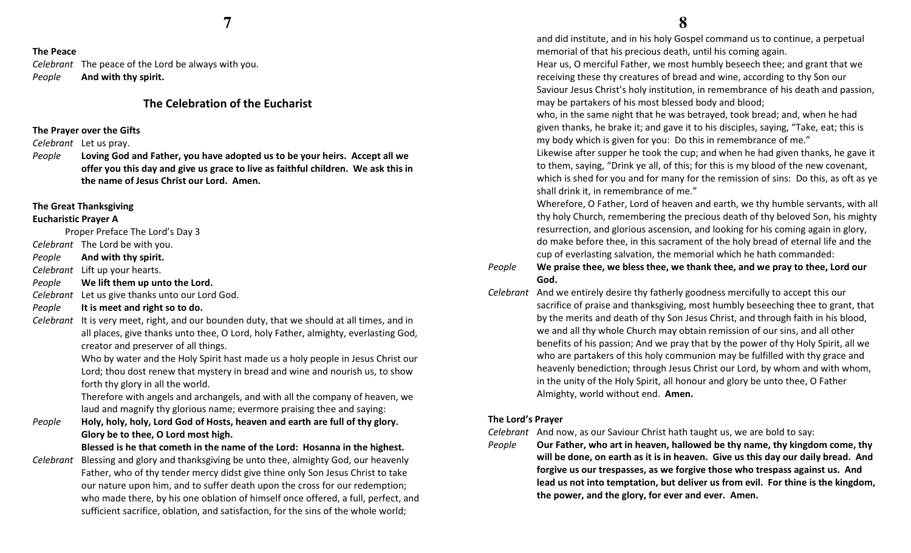# The Peace

Celebrant The peace of the Lord be always with you. PeopleAnd with thy spirit.

# The Celebration of the Eucharist

# The Prayer over the Gifts

Celebrant Let us pray.

People Loving God and Father, you have adopted us to be your heirs. Accept all we offer you this day and give us grace to live as faithful children. We ask this in the name of Jesus Christ our Lord. Amen.

#### The Great Thanksgiving

# Eucharistic Prayer A

Proper Preface The Lord's Day 3

- Celebrant The Lord be with you.
- PeopleAnd with thy spirit.

Celebrant Lift up your hearts.

- PeopleWe lift them up unto the Lord.
- Celebrant Let us give thanks unto our Lord God.
- PeopleIt is meet and right so to do.

Celebrant It is very meet, right, and our bounden duty, that we should at all times, and in all places, give thanks unto thee, O Lord, holy Father, almighty, everlasting God, creator and preserver of all things.

> Who by water and the Holy Spirit hast made us a holy people in Jesus Christ our Lord; thou dost renew that mystery in bread and wine and nourish us, to show forth thy glory in all the world.

Therefore with angels and archangels, and with all the company of heaven, we laud and magnify thy glorious name; evermore praising thee and saying:

People Holy, holy, holy, Lord God of Hosts, heaven and earth are full of thy glory. Glory be to thee, O Lord most high.

Blessed is he that cometh in the name of the Lord: Hosanna in the highest.

Celebrant Blessing and glory and thanksgiving be unto thee, almighty God, our heavenly Father, who of thy tender mercy didst give thine only Son Jesus Christ to take our nature upon him, and to suffer death upon the cross for our redemption; who made there, by his one oblation of himself once offered, a full, perfect, and sufficient sacrifice, oblation, and satisfaction, for the sins of the whole world;

 and did institute, and in his holy Gospel command us to continue, a perpetual memorial of that his precious death, until his coming again.

Hear us, O merciful Father, we most humbly beseech thee; and grant that we receiving these thy creatures of bread and wine, according to thy Son our Saviour Jesus Christ's holy institution, in remembrance of his death and passion, may be partakers of his most blessed body and blood;

who, in the same night that he was betrayed, took bread; and, when he had given thanks, he brake it; and gave it to his disciples, saying, "Take, eat; this is my body which is given for you: Do this in remembrance of me."

Likewise after supper he took the cup; and when he had given thanks, he gave it to them, saying, "Drink ye all, of this; for this is my blood of the new covenant, which is shed for you and for many for the remission of sins: Do this, as oft as ye shall drink it, in remembrance of me."

Wherefore, O Father, Lord of heaven and earth, we thy humble servants, with all thy holy Church, remembering the precious death of thy beloved Son, his mighty resurrection, and glorious ascension, and looking for his coming again in glory, do make before thee, in this sacrament of the holy bread of eternal life and the cup of everlasting salvation, the memorial which he hath commanded:

#### People We praise thee, we bless thee, we thank thee, and we pray to thee, Lord our God.

Celebrant And we entirely desire thy fatherly goodness mercifully to accept this our sacrifice of praise and thanksgiving, most humbly beseeching thee to grant, that by the merits and death of thy Son Jesus Christ, and through faith in his blood, we and all thy whole Church may obtain remission of our sins, and all other benefits of his passion; And we pray that by the power of thy Holy Spirit, all we who are partakers of this holy communion may be fulfilled with thy grace and heavenly benediction; through Jesus Christ our Lord, by whom and with whom, in the unity of the Holy Spirit, all honour and glory be unto thee, O Father Almighty, world without end. Amen.

#### The Lord's Prayer

Celebrant And now, as our Saviour Christ hath taught us, we are bold to say:

People

 Our Father, who art in heaven, hallowed be thy name, thy kingdom come, thy will be done, on earth as it is in heaven. Give us this day our daily bread. And forgive us our trespasses, as we forgive those who trespass against us. And lead us not into temptation, but deliver us from evil. For thine is the kingdom, the power, and the glory, for ever and ever. Amen.